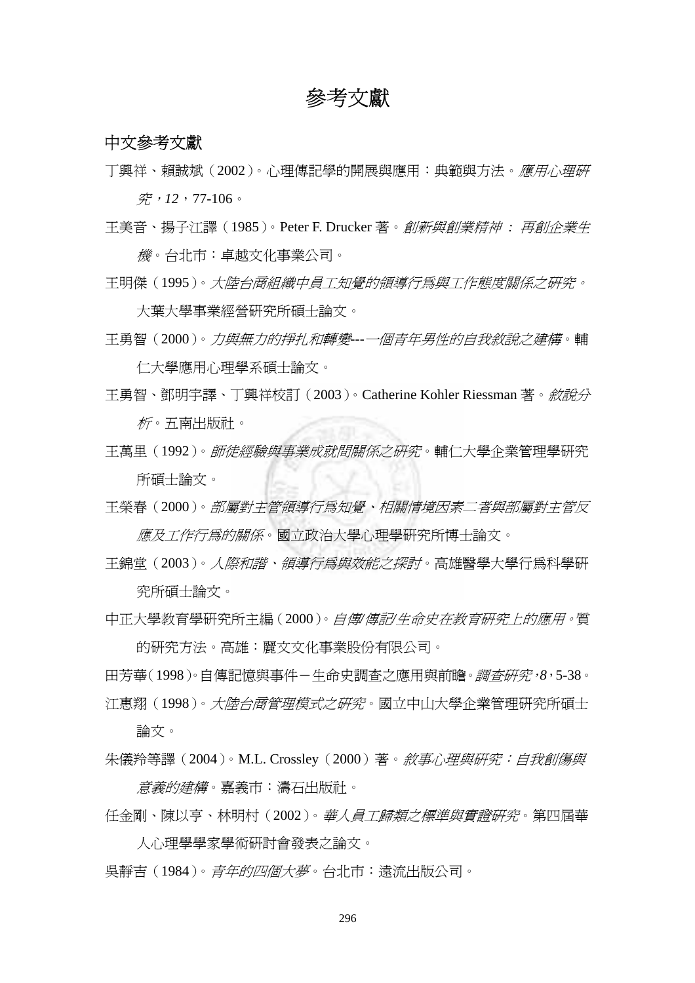## 參考文獻

## 中文參考文獻

丁興祥、賴誠斌 (2002)。心理傳記學的開展與應用:典範與方法。*應用心理研* 究,*12*,77-106。

王美音、揚子江譯(1985)。Peter F. Drucker 著。創新與創業精神 *:* 再創企業生 機。台北市:卓越文化事業公司。

王明傑(1995)。大陸台商組織中員工知覺的領導行為與工作態度關係之研究。

大葉大學事業經營研究所碩士論文。

- 王勇智(2000)。力與無力的掙扎和轉變*---*一個青年男性的自我敘說之建構。輔 仁大學應用心理學系碩士論文。
- 王勇智、鄧明宇譯、丁興祥校訂(2003)。Catherine Kohler Riessman 著。敘說分 *析*。五南出版社。
- 王萬里(1992)。師徒經驗與事業成就間關係之研究。輔仁大學企業管理學研究 所碩士論文。

王榮春(2000)。部屬對主管領導行為知覺、相關情境因素二者與部屬對主管反 應及工作行為的關係。國立政治大學心理學研究所博士論文。

王錦堂 (2003)。*人際和諧、領導行為與效能之探討*。高雄醫學大學行爲科學研 究所碩士論文。

中正大學教育學研究所主編(2000)。自傳*/*傳記*/*生命史在教育研究上的應用。質 的研究方法。高雄:麗文文化事業股份有限公司。

田芳華(1998)。自傳記憶與事件-生命史調查之應用與前瞻。調查研究,*8*,5-38。 江惠翔(1998)。大陸台商管理模式之研究。國立中山大學企業管理研究所碩士

論文。

朱儀羚等譯 (2004)。M.L. Crossley (2000) 著。*敘事心理與研究:自我創傷與 意義的建構*。嘉義市:濤石出版社。

- 任金剛、陳以亨、林明村(2002)。華人員工歸類之標準與實證研究。第四屆華 人心理學學家學術研討會發表之論文。
- 吳靜吉 ( 1984 )。*青年的四個大夢*。台北市:遠流出版公司。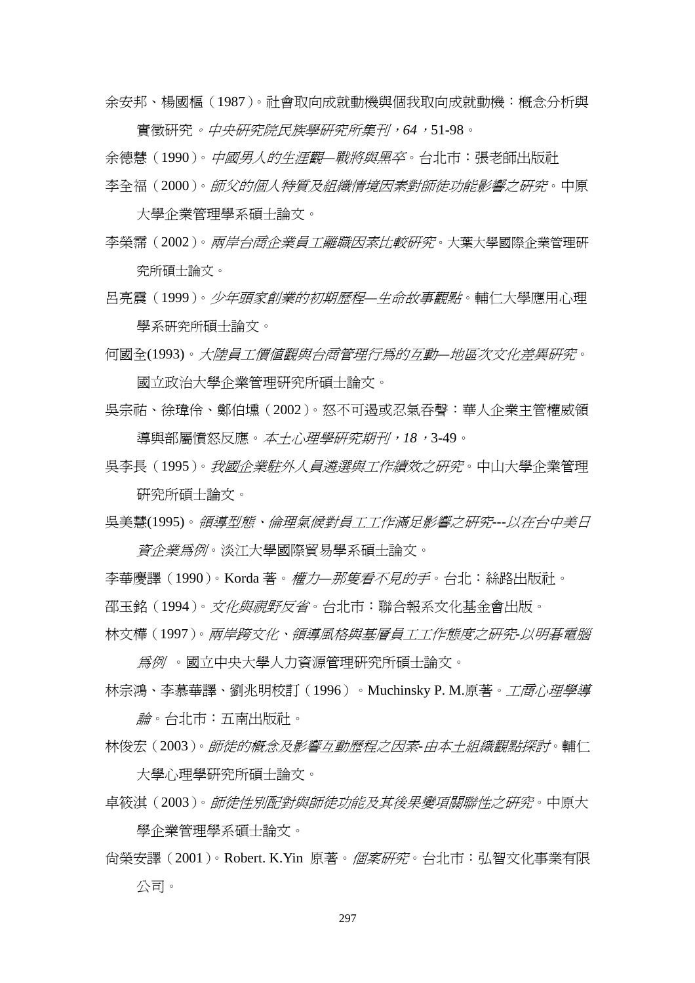余安邦、楊國樞(1987)。社會取向成就動機與個我取向成就動機:概念分析與 實徵研究。中央研究院民族學研究所集刊,*64*,51-98。

余德慧(1990)。中國男人的生涯觀*—*戰將與黑卒。台北市:張老師出版社

- 李全福(2000)。師父的個人特質及組織情境因素對師徒功能影響之研究。中原 大學企業管理學系碩士論文。
- 李榮霈 (2002)。*兩岸台商企業員工離職因素比較研究*。大葉大學國際企業管理研 究所碩士論文。
- 呂亮震(1999)。少年頭家創業的初期歷程*—*生命故事觀點。輔仁大學應用心理 學系研究所碩士論文。

何國全(1993)。大陸員工價值觀與台商管理行為的互動*—*地區次文化差異研究。 國立政治大學企業管理研究所碩士論文。

- 吳宗祐、徐瑋伶、鄭伯壎(2002)。怒不可遏或忍氣吞聲:華人企業主管權威領 導與部屬憤怒反應。本土心理學研究期刊,*18*,3-49。
- 吳李長(1995)。我國企業駐外人員遴選與工作績效之研究。中山大學企業管理 研究所碩士論文。

吳美慧(1995)。領導型態、倫理氣候對員工工作滿足影響之研究*---*以在台中美日 *資企業爲例*。淡江大學國際貿易學系碩士論文。

李華慶譯(1990)。Korda 著。權力*—*那隻看不見的手。台北:絲路出版社。

邵玉銘 (1994)。*文化與視野反省*。台北市:聯合報系文化基金會出版。

林文樺(1997)。兩岸跨文化、領導風格與基層員工工作態度之研究*-*以明碁電腦 為例 。國立中央大學人力資源管理研究所碩士論文。

林宗鴻、李慕華譯、劉兆明校訂(1996)。Muchinsky P. M.原著。*工商心理學導* 論。台北市:五南出版社。

林俊宏(2003)。師徒的概念及影響互動歷程之因素*-*由本土組織觀點探討。輔仁 大學心理學研究所碩士論文。

- 卓筱淇(2003)。師徒性別配對與師徒功能及其後果變項關聯性之研究。中原大 學企業管理學系碩士論文。
- 尚榮安譯(2001)。Robert. K.Yin 原著。個案研究。台北市:弘智文化事業有限 公司。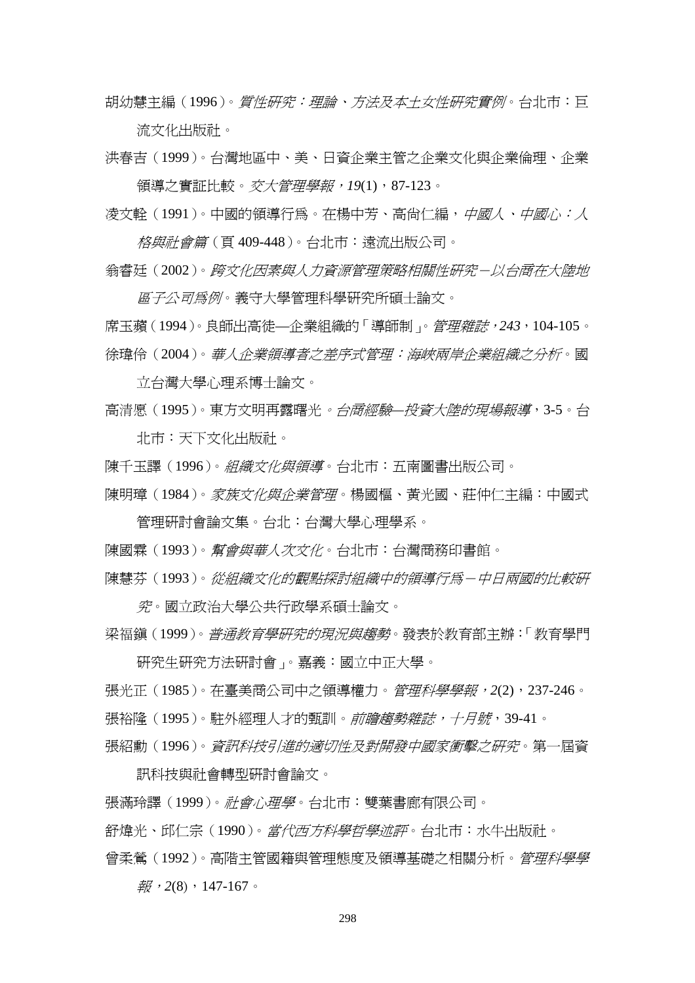胡幼慧主編(1996)。*質性研究:理論、方法及本土女性研究實例*。台北市:巨 流文化出版社。

洪春吉(1999)。台灣地區中、美、日資企業主管之企業文化與企業倫理、企業 領導之實証比較。交大管理學報,*19*(1),87-123。

凌文幹 (1991)。中國的領導行為。在楊中芳、高尙仁編,*中國人、中國心:人* 格與社會篇(頁 409-448)。台北市:遠流出版公司。

翁睿廷(2002)。跨文化因素與人力資源管理策略相關性研究-以台商在大陸地

*區子公司爲例*。義守大學管理科學硏究所碩士論文。 席玉蘋(1994)。良師出高徒—企業組織的「導師制」。管理雜誌,*243*,104-105。 徐瑋伶(2004)。華人企業領導者之差序式管理:海峽兩岸企業組織之分析。國

立台灣大學心理系博士論文。

高清愿(1995)。東方文明再露曙光。台商經驗*—*投資大陸的現場報導,3-5。台 北市:天下文化出版社。

陳千玉譯 (1996)。*組織文化與領導*。台北市:五南圖書出版公司。

陳明璋 (1984)。*家族文化與企業管理*。楊國樞、黃光國、莊仲仁主編:中國式 管理研討會論文集。台北:台灣大學心理學系。

陳國霖(1993)。幫會與華人次文化。台北市:台灣商務印書館。

陳慧芬(1993)。從組織文化的觀點探討組織中的領導行為-中日兩國的比較研

究。國立政治大學公共行政學系碩士論文。

梁福鎮(1999)。普通教育學研究的現況與趨勢。發表於教育部主辦:「教育學門

研究生研究方法研討會」。嘉義:國立中正大學。

張光正(1985)。在臺美商公司中之領導權力。管理科學學報,*2*(2),237-246。 張裕隆 (1995)。駐外經理人才的甄訓。*前瞻趨勢雜誌,十月號*,39-41。

張紹勳(1996)。資訊科技引進的適切性及對開發中國家衝擊之研究。第一屆資

訊科技與社會轉型研討會論文。

張滿玲譯(1999)。社會心理學。台北市:雙葉書廊有限公司。

舒煒光、邱仁宗(1990)。*當代西方科學哲學述評*。台北市:水牛出版社。

曾柔鶯(1992)。高階主管國籍與管理熊度及領導基礎之相關分析。*管理科學學* 報,*2*(8),147-167。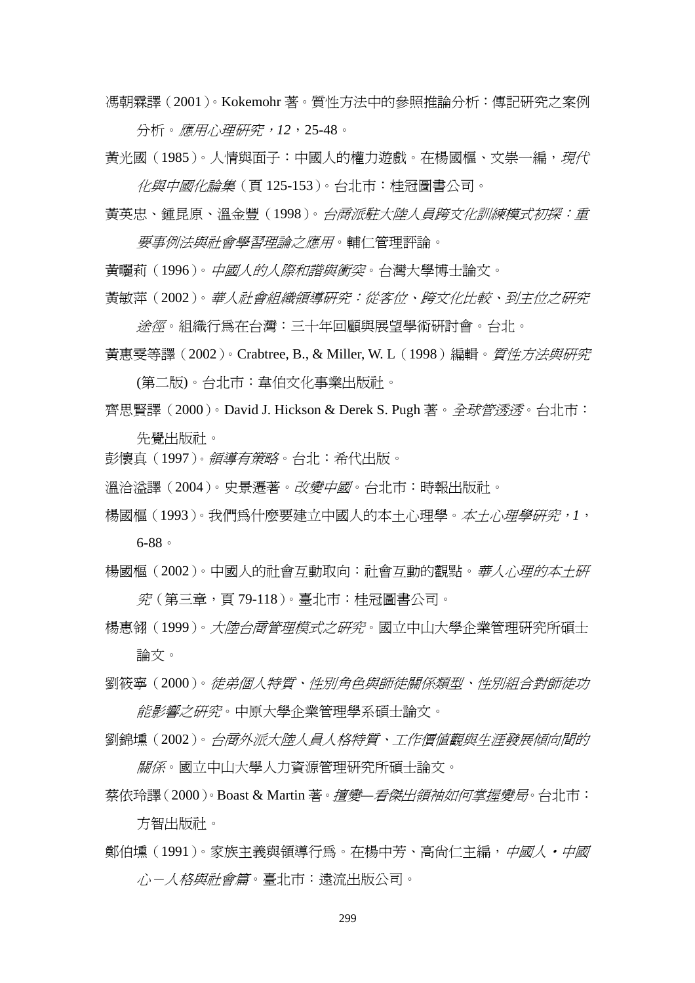馮朝霖譯(2001)。Kokemohr 著。質性方法中的參照推論分析:傳記研究之案例 分析。應用心理研究,*12*,25-48。

黃光國(1985)。人情與面子:中國人的權力遊戲。在楊國樞、文崇一編,*現代* 化與中國化論集(頁 125-153)。台北市:桂冠圖書公司。

黃英忠、鍾昆原、溫金豐(1998)。台商派駐大陸人員跨文化訓練模式初探:重 要事例法與社會學習理論之應用。輔仁管理評論。

黃曬莉 (1996)。*中國人的人際和諧與衝突*。台灣大學博士論文。

黃敏萍(2002)。華人社會組織領導研究:從客位、跨文化比較、到主位之研究 途徑。組織行為在台灣:三十年回顧與展望學術研討會。台北。

黃惠雯等譯(2002)。Crabtree, B., & Miller, W. L(1998)編輯。*質性方法與研究* (第二版)。台北市:韋伯文化事業出版社。

- 齊思賢譯 (2000)。David J. Hickson & Derek S. Pugh 著。*全球管透透*。台北市: 先覺出版社。
- 彭懷真 (1997)。 *領導有策略*。 台北: 希代出版。

溫洽溢譯(2004)。史景遷著。*改變中國*。台北市:時報出版社。

- 楊國樞 (1993)。我們為什麼要建立中國人的本土心理學。*本土心理學研究*, 1, 6-88。
- 楊國樞 (2002)。中國人的社會互動取向:社會互動的觀點。*華人心理的本土研* 究(第三章,頁 79-118)。臺北市:桂冠圖書公司。
- 楊惠翎 (1999)。*大陸台商管理模式之研究*。國立中山大學企業管理研究所碩士 論文。
- 劉筱寧(2000)。徒弟個人特質、性別角色與師徒關係類型、性別組合對師徒功 *能影響之研究*。中原大學企業管理學系碩士論文。
- 劉錦壎(2002)。台商外派大陸人員人格特質、工作價值觀與生涯發展傾向間的 關係。國立中山大學人力資源管理研究所碩士論文。
- 蔡依玲譯(2000)。Boast & Martin 著。擅變*—*看傑出領袖如何掌握變局。台北市: 方智出版社。
- 鄭伯堹(1991)。家族主義與領導行為。在楊中芳、高尙仁主編,*中國人・中國 心-人格與社會篇*。臺北市:遠流出版公司。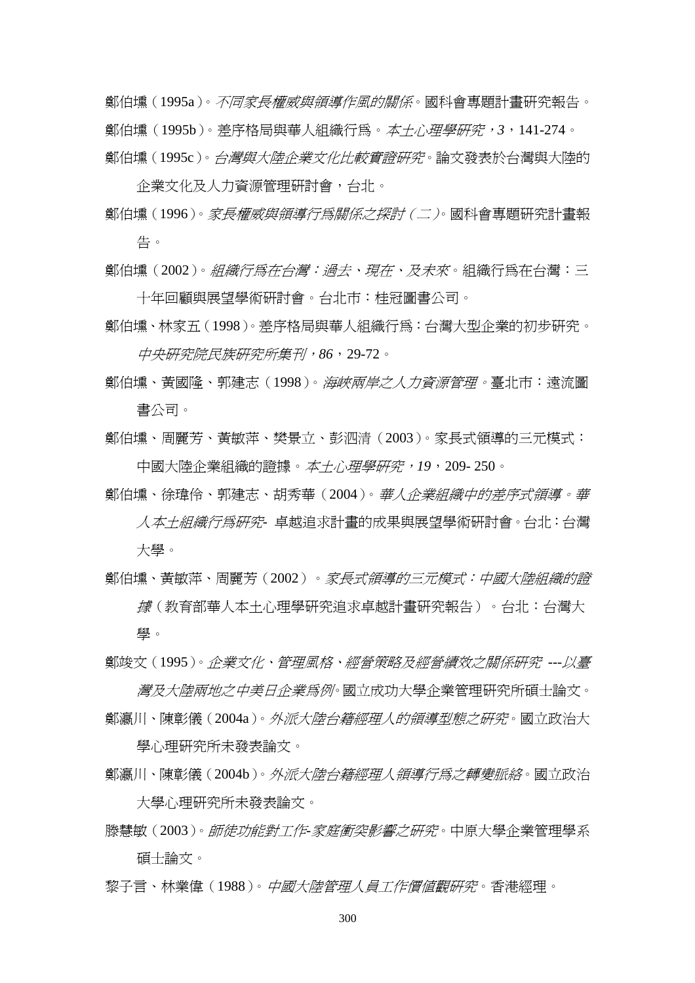鄭伯壎(1995a)。*不同家長權威與領導作風的關係*。國科會專題計書研究報告。 鄭伯壎(1995b)。差序格局與華人組織行為。本土心理學研究,*3*,141-274。 鄭伯壎(1995c)。*台灣與大陸企業文化比較實證研究*。論文發表於台灣與大陸的

企業文化及人力資源管理研討會,台北。 鄭伯壎(1996)。家長權威與領導行為關係之探討(二)。國科會專題研究計畫報 告。

鄭伯壎(2002)。*組織行爲在台灣:過去、現在、及未來*。組織行爲在台灣:三 十年回顧與展望學術研討會。台北市:桂冠圖書公司。

鄭伯壎、林家五(1998)。差序格局與華人組織行為:台灣大型企業的初步研究。 中央研究院民族研究所集刊,*86*,29-72。

- 鄭伯壎、黃國隆、郭建志(1998)。 海峽兩岸之人力資源管理。臺北市: 遠流圖 書公司。
- 鄭伯壎、周麗芳、黃敏萍、樊景立、彭泗清(2003)。家長式領導的三元模式: 中國大陸企業組織的證據。本土心理學研究,*19*,209- 250。
- 鄭伯壎、徐瑋伶、郭建志、胡秀華(2004)。華人企業組織中的差序式領導。華 人本土組織行為研究*-* 卓越追求計畫的成果與展望學術研討會。台北:台灣 大學。
- 鄭伯壎、黃敏萍、周麗芳(2002)。*家長式領導的三元模式:中國大陸組織的證* 據(教育部華人本土心理學研究追求卓越計畫研究報告)。台北:台灣大 學。

鄭竣文(1995)。企業文化、管理風格、經營策略及經營績效之關係研究 *---*以臺 灣及大陸兩地之中美日企業為例。國立成功大學企業管理研究所碩士論文。

鄭瀛川、陳彰儀 (2004a)。*外派大陸台籍經理人的領導型熊之研究*。國立政治大 學心理研究所未發表論文。

- 鄭瀛川、陳彰儀 (2004b)。 外派大陸台*籍經理人領導行爲之轉變脈絡*。國立政治 大學心理研究所未發表論文。
- 滕慧敏(2003)。師徒功能對工作*-*家庭衝突影響之研究。中原大學企業管理學系 碩士論文。

黎子言、林業偉(1988)。中國大陸管理人員工作價值觀研究。香港經理。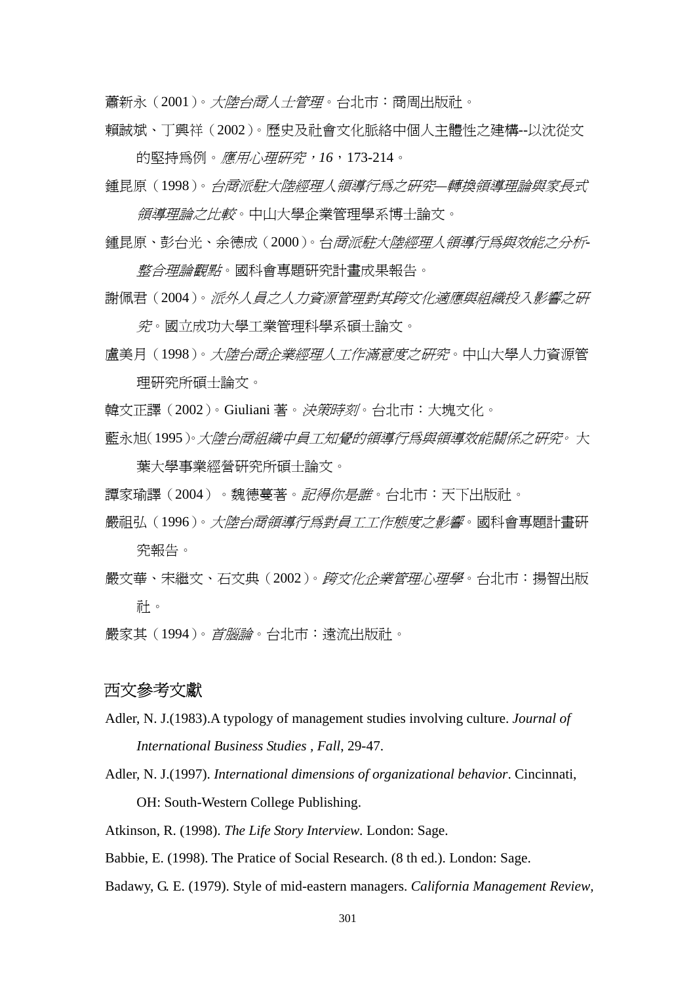蕭新永(2001)。*大陸台商人士管理*。台北市:商周出版社。

賴誠斌、丁興祥(2002)。歷史及社會文化脈絡中個人主體性之建構--以沈從文

的堅持為例。應用心理研究,*16*,173-214。 鍾昆原(1998)。台商派駐大陸經理人領導行為之研究*—*轉換領導理論與家長式

領導理論之比較。中山大學企業管理學系博士論文。

- 鍾昆原、彭台光、余德成(2000)。台商派駐大陸經理人領導行為與效能之分析*-整合理論觀點*。國科會專題研究計畫成果報告。
- 謝佩君(2004)。派外人員之人力資源管理對其跨文化適應與組織投入影響之研 究。國立成功大學工業管理科學系碩士論文。

盧美月(1998)。*大陸台商企業經理人工作滿意度之研究*。中山大學人力資源管 理研究所碩士論文。

- 韓文正譯(2002)。Giuliani 著。*決策時刻*。台北市:大塊文化。
- 藍永旭(1995)。大陸台商組織中員工知覺的領導行為與領導效能關係之研究。 大 葉大學事業經營研究所碩士論文。
- 譚家瑜譯(2004)。魏德蔓著。*記得你是誰*。台北市:天下出版社。
- 嚴祖弘(1996)。大陸台商領導行為對員工工作態度之影響。國科會專題計畫研 究報告。
- 嚴文華、宋繼文、石文典 (2002)。*跨文化企業管理心理學*。台北市:揚智出版 社。
- 嚴家其(1994)。首腦論。台北市:遠流出版社。

## 西文參考文獻

- Adler, N. J.(1983).A typology of management studies involving culture. *Journal of International Business Studies , Fall*, 29-47.
- Adler, N. J.(1997). *International dimensions of organizational behavior*. Cincinnati, OH: South-Western College Publishing.

Atkinson, R. (1998). *The Life Story Interview.* London: Sage.

Babbie, E. (1998). The Pratice of Social Research. (8 th ed.). London: Sage.

Badawy, G. E. (1979). Style of mid-eastern managers. *California Management Review,*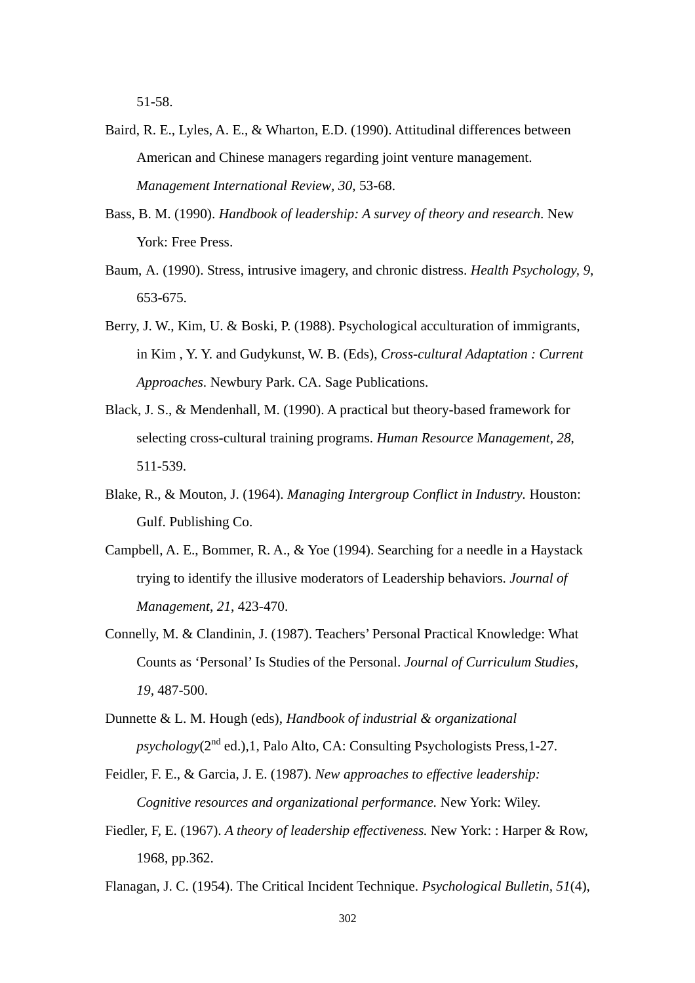51-58.

- Baird, R. E., Lyles, A. E., & Wharton, E.D. (1990). Attitudinal differences between American and Chinese managers regarding joint venture management. *Management International Review, 30*, 53-68.
- Bass, B. M. (1990). *Handbook of leadership: A survey of theory and research*. New York: Free Press.
- Baum, A. (1990). Stress, intrusive imagery, and chronic distress. *Health Psychology, 9*, 653-675.
- Berry, J. W., Kim, U. & Boski, P. (1988). Psychological acculturation of immigrants, in Kim , Y. Y. and Gudykunst, W. B. (Eds), *Cross-cultural Adaptation : Current Approaches*. Newbury Park. CA. Sage Publications.
- Black, J. S., & Mendenhall, M. (1990). A practical but theory-based framework for selecting cross-cultural training programs. *Human Resource Management, 28*, 511-539.
- Blake, R., & Mouton, J. (1964). *Managing Intergroup Conflict in Industry.* Houston: Gulf. Publishing Co.
- Campbell, A. E., Bommer, R. A., & Yoe (1994). Searching for a needle in a Haystack trying to identify the illusive moderators of Leadership behaviors. *Journal of Management*, *21*, 423-470.
- Connelly, M. & Clandinin, J. (1987). Teachers' Personal Practical Knowledge: What Counts as 'Personal' Is Studies of the Personal. *Journal of Curriculum Studies, 19,* 487-500.
- Dunnette & L. M. Hough (eds), *Handbook of industrial & organizational*   $p$ *sychology*( $2<sup>nd</sup>$  ed.), 1, Palo Alto, CA: Consulting Psychologists Press, 1-27.
- Feidler, F. E., & Garcia, J. E. (1987). *New approaches to effective leadership: Cognitive resources and organizational performance.* New York: Wiley.
- Fiedler, F, E. (1967). *A theory of leadership effectiveness.* New York: : Harper & Row, 1968, pp.362.
- Flanagan, J. C. (1954). The Critical Incident Technique. *Psychological Bulletin, 51*(4),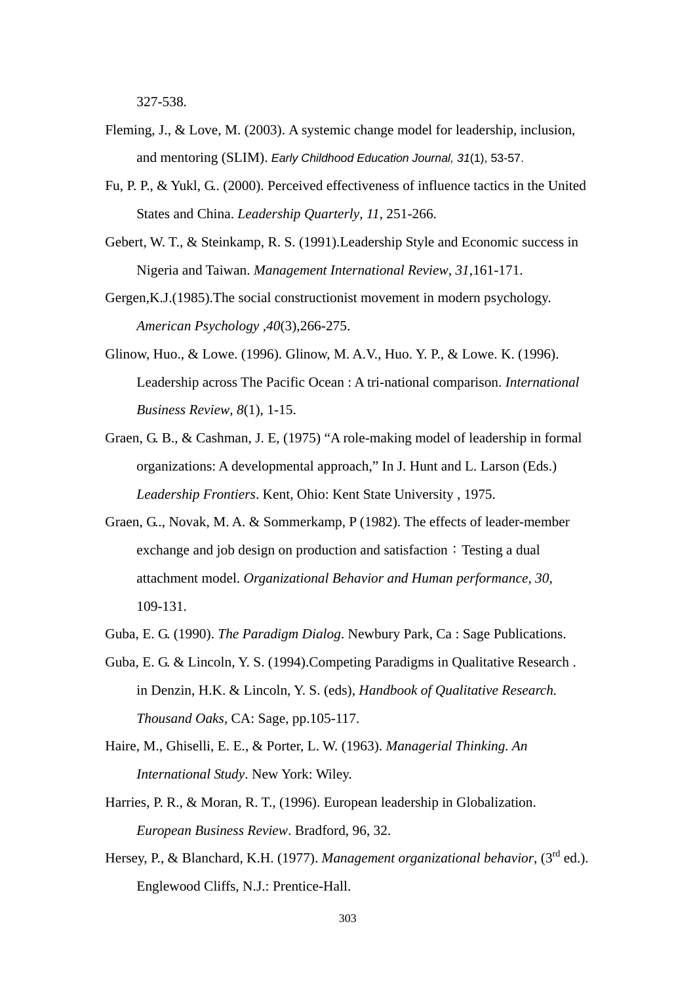327-538.

- Fleming, J., & Love, M. (2003). A systemic change model for leadership, inclusion, and mentoring (SLIM). *Early Childhood Education Journal, 31*(1), 53-57.
- Fu, P. P., & Yukl, G.. (2000). Perceived effectiveness of influence tactics in the United States and China. *Leadership Quarterly, 11*, 251-266.
- Gebert, W. T., & Steinkamp, R. S. (1991).Leadership Style and Economic success in Nigeria and Taiwan. *Management International Review, 31*,161-171.
- Gergen,K.J.(1985).The social constructionist movement in modern psychology. *American Psychology ,40*(3),266-275.
- Glinow, Huo., & Lowe. (1996). Glinow, M. A.V., Huo. Y. P., & Lowe. K. (1996). Leadership across The Pacific Ocean : A tri-national comparison. *International Business Review, 8*(1), 1-15.
- Graen, G. B., & Cashman, J. E, (1975) "A role-making model of leadership in formal organizations: A developmental approach," In J. Hunt and L. Larson (Eds.) *Leadership Frontiers*. Kent, Ohio: Kent State University , 1975.
- Graen, G.., Novak, M. A. & Sommerkamp, P (1982). The effects of leader-member exchange and job design on production and satisfaction: Testing a dual attachment model. *Organizational Behavior and Human performance, 30*, 109-131.
- Guba, E. G. (1990). *The Paradigm Dialog*. Newbury Park, Ca : Sage Publications.
- Guba, E. G. & Lincoln, Y. S. (1994).Competing Paradigms in Qualitative Research . in Denzin, H.K. & Lincoln, Y. S. (eds), *Handbook of Qualitative Research. Thousand Oaks*, CA: Sage, pp.105-117.
- Haire, M., Ghiselli, E. E., & Porter, L. W. (1963). *Managerial Thinking. An International Study*. New York: Wiley.
- Harries, P. R., & Moran, R. T., (1996). European leadership in Globalization. *European Business Review*. Bradford, 96, 32.
- Hersey, P., & Blanchard, K.H. (1977). *Management organizational behavior*, (3rd ed.). Englewood Cliffs, N.J.: Prentice-Hall.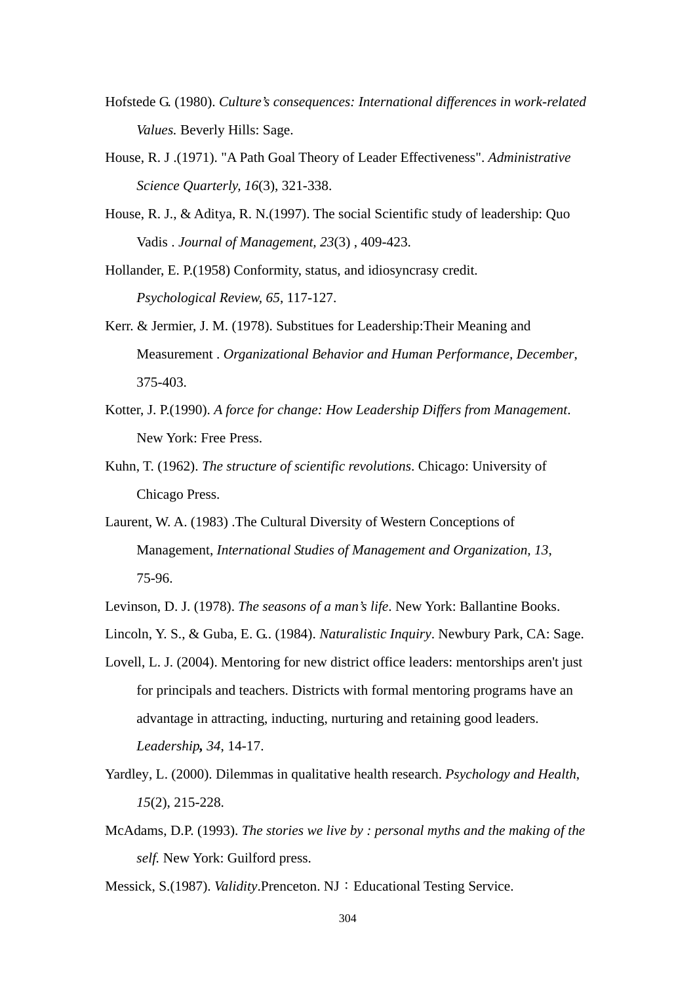- Hofstede G. (1980). *Culture's consequences: International differences in work-related Values.* Beverly Hills: Sage.
- House, R. J .(1971). "A Path Goal Theory of Leader Effectiveness". *Administrative Science Quarterly, 16*(3), 321-338.
- House, R. J., & Aditya, R. N.(1997). The social Scientific study of leadership: Quo Vadis . *Journal of Management, 23*(3) , 409-423.

Hollander, E. P.(1958) Conformity, status, and idiosyncrasy credit. *Psychological Review, 65*, 117-127.

- Kerr. & Jermier, J. M. (1978). Substitues for Leadership:Their Meaning and Measurement . *Organizational Behavior and Human Performance, December*, 375-403.
- Kotter, J. P.(1990). *A force for change: How Leadership Differs from Management*. New York: Free Press.
- Kuhn, T. (1962). *The structure of scientific revolutions*. Chicago: University of Chicago Press.
- Laurent, W. A. (1983) .The Cultural Diversity of Western Conceptions of Management, *International Studies of Management and Organization, 13*, 75-96.
- Levinson, D. J. (1978). *The seasons of a man's life*. New York: Ballantine Books.
- Lincoln, Y. S., & Guba, E. G.. (1984). *Naturalistic Inquiry*. Newbury Park, CA: Sage.
- Lovell, L. J. (2004). Mentoring for new district office leaders: mentorships aren't just for principals and teachers. Districts with formal mentoring programs have an advantage in attracting, inducting, nurturing and retaining good leaders. *Leadership, 34*, 14-17.
- Yardley, L. (2000). Dilemmas in qualitative health research. *Psychology and Health*, *15*(2), 215-228.
- McAdams, D.P. (1993). *The stories we live by : personal myths and the making of the self.* New York: Guilford press.

Messick, S.(1987). *Validity*.Prenceton. NJ: Educational Testing Service.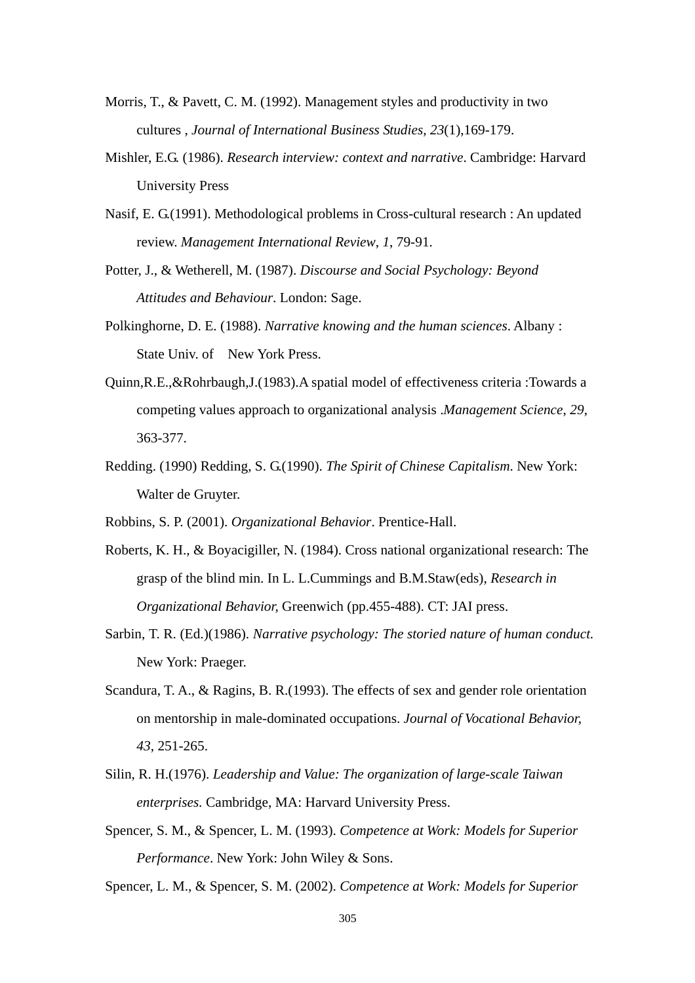- Morris, T., & Pavett, C. M. (1992). Management styles and productivity in two cultures , *Journal of International Business Studies*, *23*(1),169-179.
- Mishler, E.G. (1986). *Research interview: context and narrative*. Cambridge: Harvard University Press
- Nasif, E. G.(1991). Methodological problems in Cross-cultural research : An updated review. *Management International Review*, *1*, 79-91.
- Potter, J., & Wetherell, M. (1987). *Discourse and Social Psychology: Beyond Attitudes and Behaviour*. London: Sage.
- Polkinghorne, D. E. (1988). *Narrative knowing and the human sciences*. Albany : State Univ. of New York Press.
- Quinn,R.E.,&Rohrbaugh,J.(1983).A spatial model of effectiveness criteria :Towards a competing values approach to organizational analysis .*Management Science*, *29*, 363-377.
- Redding. (1990) Redding, S. G.(1990). *The Spirit of Chinese Capitalism*. New York: Walter de Gruyter.
- Robbins, S. P. (2001). *Organizational Behavior*. Prentice-Hall.
- Roberts, K. H., & Boyacigiller, N. (1984). Cross national organizational research: The grasp of the blind min. In L. L.Cummings and B.M.Staw(eds), *Research in Organizational Behavior,* Greenwich (pp.455-488). CT: JAI press.
- Sarbin, T. R. (Ed.)(1986). *Narrative psychology: The storied nature of human conduct.* New York: Praeger.
- Scandura, T. A., & Ragins, B. R.(1993). The effects of sex and gender role orientation on mentorship in male-dominated occupations. *Journal of Vocational Behavior, 43*, 251-265.
- Silin, R. H.(1976). *Leadership and Value: The organization of large-scale Taiwan enterprises.* Cambridge, MA: Harvard University Press.
- Spencer, S. M., & Spencer, L. M. (1993). *Competence at Work: Models for Superior Performance*. New York: John Wiley & Sons.

Spencer, L. M., & Spencer, S. M. (2002). *Competence at Work: Models for Superior*